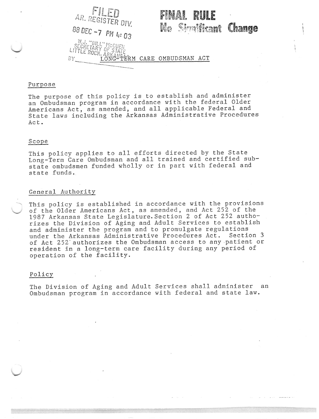FII Fr FINAL RUIE AR. REGISTER DIV. No Simificant Change 88 DEC -7 PM 4:03 W.J. "BILL" MCCUEN<br>SECRETARY OF STATE<br>LITTLE ROCK, ARKANSERM CARE OMBUDSMAN ACT<br>BY LONG TERM CARE OMBUDSMAN ACT

#### Purpose

The purpose of this policy is to establish and administer an Ombudsman program in accordance with the federal Older Americans Act, as amended, and all applicable Federal and State laws including the Arkansas Administrative Procedures  $ACE$ .

# Scope

This policy applies to all efforts directed by the State Long-Term Care Ombudsman and all trained and certified substate ombudsmen funded wholly or in part with federal and state funds.

## General Authority

This policy is established in accordance with the provisions of the Older Americans Act, as amended, and Act 252 of the 1987 Arkansas State Legislature. Section 2 of Act 252 authorizes the Division of Aging and Adult Services to establish and administer the program and to promulgate regulations under the Arkansas Administrative Procedures Act. Section 3 of Act 252 authorizes the Ombudsman access to any patient or resident in a long-term care facility during any period of operation of the facility.

# Policy

The Division of Aging and Adult Services shall administer an Ombudsman program in accordance with federal and state law.